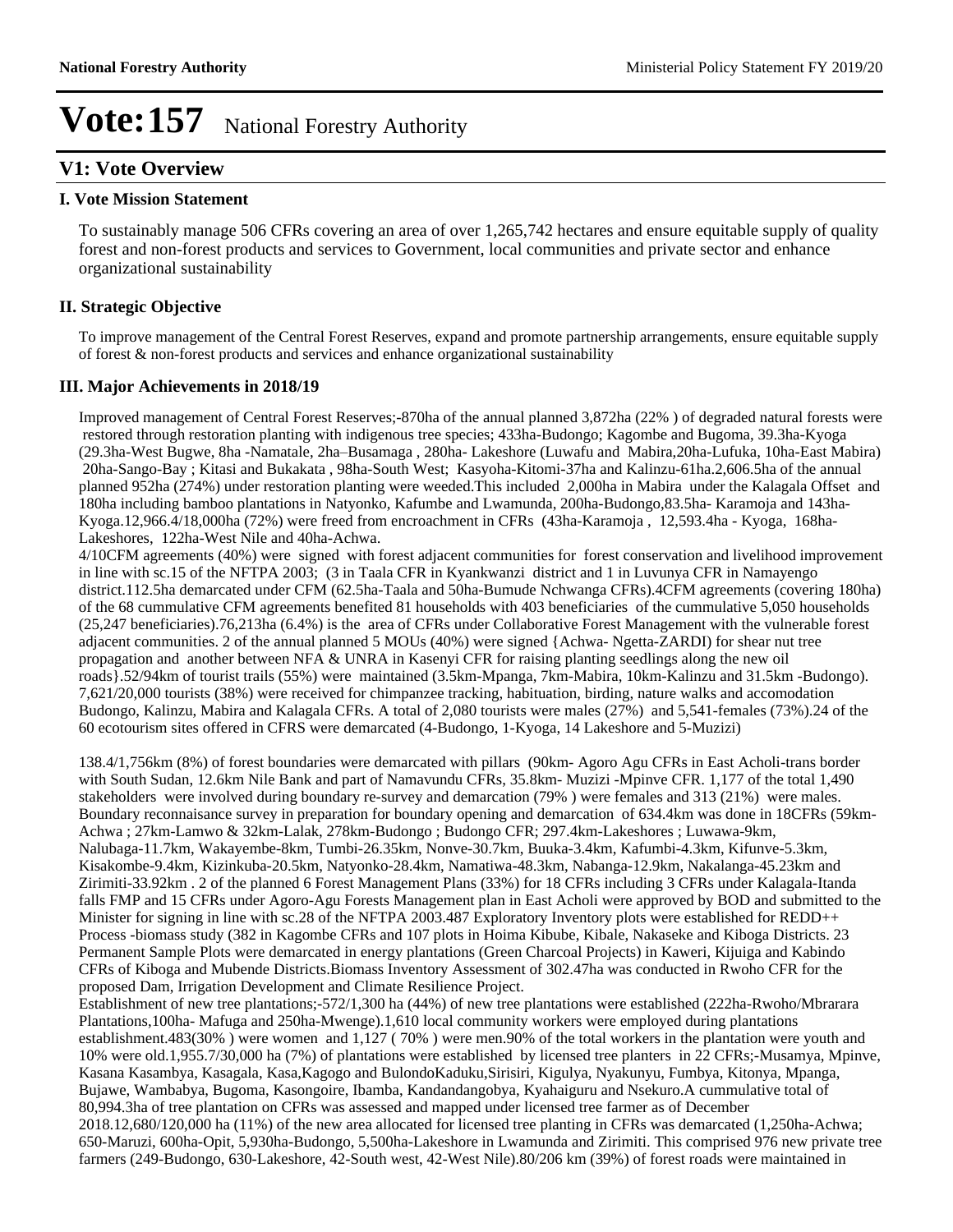## **V1: Vote Overview**

#### **I. Vote Mission Statement**

To sustainably manage 506 CFRs covering an area of over 1,265,742 hectares and ensure equitable supply of quality forest and non-forest products and services to Government, local communities and private sector and enhance organizational sustainability

### **II. Strategic Objective**

To improve management of the Central Forest Reserves, expand and promote partnership arrangements, ensure equitable supply of forest & non-forest products and services and enhance organizational sustainability

### **III. Major Achievements in 2018/19**

Improved management of Central Forest Reserves;-870ha of the annual planned 3,872ha (22% ) of degraded natural forests were restored through restoration planting with indigenous tree species; 433ha-Budongo; Kagombe and Bugoma, 39.3ha-Kyoga (29.3ha-West Bugwe, 8ha -Namatale, 2ha±Busamaga , 280ha- Lakeshore (Luwafu and Mabira,20ha-Lufuka, 10ha-East Mabira) 20ha-Sango-Bay ; Kitasi and Bukakata , 98ha-South West; Kasyoha-Kitomi-37ha and Kalinzu-61ha.2,606.5ha of the annual planned 952ha (274%) under restoration planting were weeded.This included 2,000ha in Mabira under the Kalagala Offset and 180ha including bamboo plantations in Natyonko, Kafumbe and Lwamunda, 200ha-Budongo,83.5ha- Karamoja and 143ha-Kyoga.12,966.4/18,000ha (72%) were freed from encroachment in CFRs (43ha-Karamoja , 12,593.4ha - Kyoga, 168ha-Lakeshores, 122ha-West Nile and 40ha-Achwa.

4/10CFM agreements (40%) were signed with forest adjacent communities for forest conservation and livelihood improvement in line with sc.15 of the NFTPA 2003; (3 in Taala CFR in Kyankwanzi district and 1 in Luvunya CFR in Namayengo district.112.5ha demarcated under CFM (62.5ha-Taala and 50ha-Bumude Nchwanga CFRs).4CFM agreements (covering 180ha) of the 68 cummulative CFM agreements benefited 81 households with 403 beneficiaries of the cummulative 5,050 households (25,247 beneficiaries).76,213ha (6.4%) is the area of CFRs under Collaborative Forest Management with the vulnerable forest adjacent communities. 2 of the annual planned 5 MOUs (40%) were signed {Achwa- Ngetta-ZARDI) for shear nut tree propagation and another between NFA & UNRA in Kasenyi CFR for raising planting seedlings along the new oil roads}.52/94km of tourist trails (55%) were maintained (3.5km-Mpanga, 7km-Mabira, 10km-Kalinzu and 31.5km -Budongo). 7,621/20,000 tourists (38%) were received for chimpanzee tracking, habituation, birding, nature walks and accomodation Budongo, Kalinzu, Mabira and Kalagala CFRs. A total of 2,080 tourists were males (27%) and 5,541-females (73%).24 of the 60 ecotourism sites offered in CFRS were demarcated (4-Budongo, 1-Kyoga, 14 Lakeshore and 5-Muzizi)

138.4/1,756km (8%) of forest boundaries were demarcated with pillars (90km- Agoro Agu CFRs in East Acholi-trans border with South Sudan, 12.6km Nile Bank and part of Namavundu CFRs, 35.8km- Muzizi -Mpinve CFR. 1,177 of the total 1,490 stakeholders were involved during boundary re-survey and demarcation (79% ) were females and 313 (21%) were males. Boundary reconnaisance survey in preparation for boundary opening and demarcation of 634.4km was done in 18CFRs (59km-Achwa ; 27km-Lamwo & 32km-Lalak, 278km-Budongo ; Budongo CFR; 297.4km-Lakeshores ; Luwawa-9km, Nalubaga-11.7km, Wakayembe-8km, Tumbi-26.35km, Nonve-30.7km, Buuka-3.4km, Kafumbi-4.3km, Kifunve-5.3km, Kisakombe-9.4km, Kizinkuba-20.5km, Natyonko-28.4km, Namatiwa-48.3km, Nabanga-12.9km, Nakalanga-45.23km and Zirimiti-33.92km . 2 of the planned 6 Forest Management Plans (33%) for 18 CFRs including 3 CFRs under Kalagala-Itanda falls FMP and 15 CFRs under Agoro-Agu Forests Management plan in East Acholi were approved by BOD and submitted to the Minister for signing in line with sc.28 of the NFTPA 2003.487 Exploratory Inventory plots were established for REDD++ Process -biomass study (382 in Kagombe CFRs and 107 plots in Hoima Kibube, Kibale, Nakaseke and Kiboga Districts. 23 Permanent Sample Plots were demarcated in energy plantations (Green Charcoal Projects) in Kaweri, Kijuiga and Kabindo CFRs of Kiboga and Mubende Districts.Biomass Inventory Assessment of 302.47ha was conducted in Rwoho CFR for the proposed Dam, Irrigation Development and Climate Resilience Project.

Establishment of new tree plantations;-572/1,300 ha (44%) of new tree plantations were established (222ha-Rwoho/Mbrarara Plantations,100ha- Mafuga and 250ha-Mwenge).1,610 local community workers were employed during plantations establishment.483(30% ) were women and 1,127 ( 70% ) were men.90% of the total workers in the plantation were youth and 10% were old.1,955.7/30,000 ha (7%) of plantations were established by licensed tree planters in 22 CFRs;-Musamya, Mpinve, Kasana Kasambya, Kasagala, Kasa,Kagogo and BulondoKaduku,Sirisiri, Kigulya, Nyakunyu, Fumbya, Kitonya, Mpanga, Bujawe, Wambabya, Bugoma, Kasongoire, Ibamba, Kandandangobya, Kyahaiguru and Nsekuro.A cummulative total of 80,994.3ha of tree plantation on CFRs was assessed and mapped under licensed tree farmer as of December 2018.12,680/120,000 ha (11%) of the new area allocated for licensed tree planting in CFRs was demarcated (1,250ha-Achwa; 650-Maruzi, 600ha-Opit, 5,930ha-Budongo, 5,500ha-Lakeshore in Lwamunda and Zirimiti. This comprised 976 new private tree farmers (249-Budongo, 630-Lakeshore, 42-South west, 42-West Nile).80/206 km (39%) of forest roads were maintained in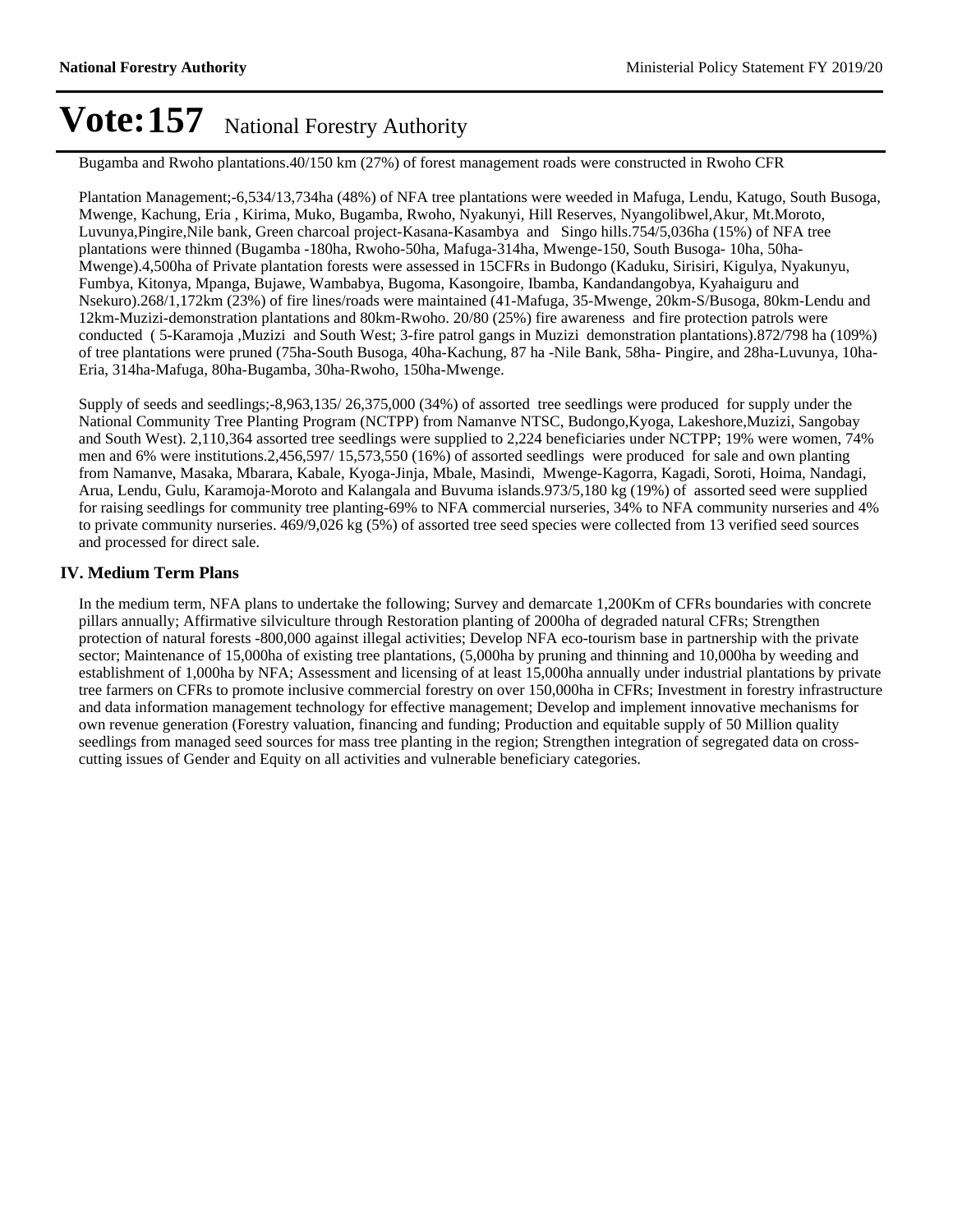Bugamba and Rwoho plantations.40/150 km (27%) of forest management roads were constructed in Rwoho CFR

Plantation Management;-6,534/13,734ha (48%) of NFA tree plantations were weeded in Mafuga, Lendu, Katugo, South Busoga, Mwenge, Kachung, Eria , Kirima, Muko, Bugamba, Rwoho, Nyakunyi, Hill Reserves, Nyangolibwel,Akur, Mt.Moroto, Luvunya,Pingire,Nile bank, Green charcoal project-Kasana-Kasambya and Singo hills.754/5,036ha (15%) of NFA tree plantations were thinned (Bugamba -180ha, Rwoho-50ha, Mafuga-314ha, Mwenge-150, South Busoga- 10ha, 50ha-Mwenge).4,500ha of Private plantation forests were assessed in 15CFRs in Budongo (Kaduku, Sirisiri, Kigulya, Nyakunyu, Fumbya, Kitonya, Mpanga, Bujawe, Wambabya, Bugoma, Kasongoire, Ibamba, Kandandangobya, Kyahaiguru and Nsekuro).268/1,172km (23%) of fire lines/roads were maintained (41-Mafuga, 35-Mwenge, 20km-S/Busoga, 80km-Lendu and 12km-Muzizi-demonstration plantations and 80km-Rwoho. 20/80 (25%) fire awareness and fire protection patrols were conducted ( 5-Karamoja ,Muzizi and South West; 3-fire patrol gangs in Muzizi demonstration plantations).872/798 ha (109%) of tree plantations were pruned (75ha-South Busoga, 40ha-Kachung, 87 ha -Nile Bank, 58ha- Pingire, and 28ha-Luvunya, 10ha-Eria, 314ha-Mafuga, 80ha-Bugamba, 30ha-Rwoho, 150ha-Mwenge.

Supply of seeds and seedlings;-8,963,135/ 26,375,000 (34%) of assorted tree seedlings were produced for supply under the National Community Tree Planting Program (NCTPP) from Namanve NTSC, Budongo,Kyoga, Lakeshore,Muzizi, Sangobay and South West). 2,110,364 assorted tree seedlings were supplied to 2,224 beneficiaries under NCTPP; 19% were women, 74% men and 6% were institutions.2,456,597/ 15,573,550 (16%) of assorted seedlings were produced for sale and own planting from Namanve, Masaka, Mbarara, Kabale, Kyoga-Jinja, Mbale, Masindi, Mwenge-Kagorra, Kagadi, Soroti, Hoima, Nandagi, Arua, Lendu, Gulu, Karamoja-Moroto and Kalangala and Buvuma islands.973/5,180 kg (19%) of assorted seed were supplied for raising seedlings for community tree planting-69% to NFA commercial nurseries, 34% to NFA community nurseries and 4% to private community nurseries. 469/9,026 kg (5%) of assorted tree seed species were collected from 13 verified seed sources and processed for direct sale.

### **IV. Medium Term Plans**

In the medium term, NFA plans to undertake the following; Survey and demarcate 1,200Km of CFRs boundaries with concrete pillars annually; Affirmative silviculture through Restoration planting of 2000ha of degraded natural CFRs; Strengthen protection of natural forests -800,000 against illegal activities; Develop NFA eco-tourism base in partnership with the private sector; Maintenance of 15,000ha of existing tree plantations, (5,000ha by pruning and thinning and 10,000ha by weeding and establishment of 1,000ha by NFA; Assessment and licensing of at least 15,000ha annually under industrial plantations by private tree farmers on CFRs to promote inclusive commercial forestry on over 150,000ha in CFRs; Investment in forestry infrastructure and data information management technology for effective management; Develop and implement innovative mechanisms for own revenue generation (Forestry valuation, financing and funding; Production and equitable supply of 50 Million quality seedlings from managed seed sources for mass tree planting in the region; Strengthen integration of segregated data on crosscutting issues of Gender and Equity on all activities and vulnerable beneficiary categories.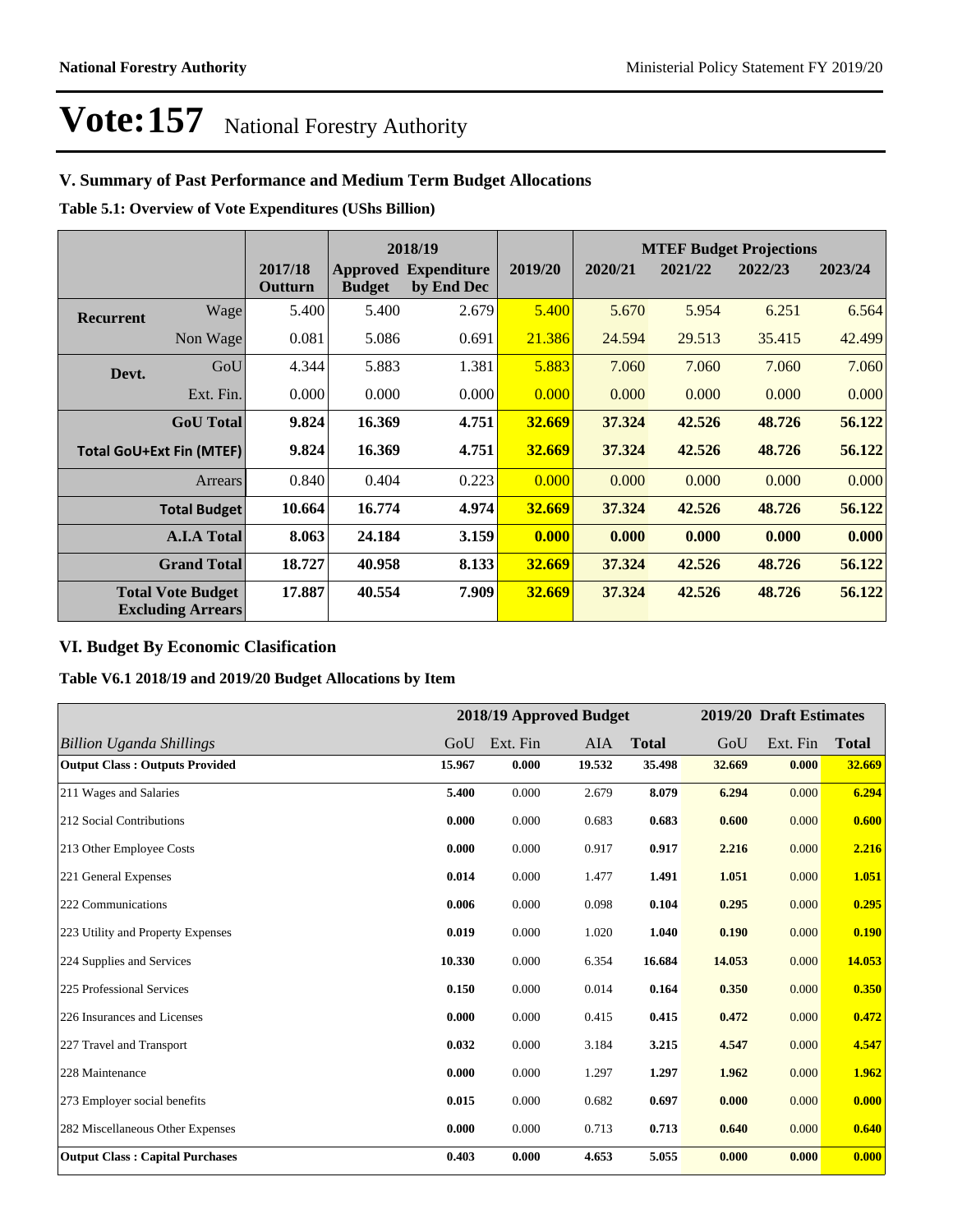## **V. Summary of Past Performance and Medium Term Budget Allocations**

**Table 5.1: Overview of Vote Expenditures (UShs Billion)**

|                  |                                                      |                    | 2018/19       |                                           |         |         |         | <b>MTEF Budget Projections</b> |         |
|------------------|------------------------------------------------------|--------------------|---------------|-------------------------------------------|---------|---------|---------|--------------------------------|---------|
|                  |                                                      | 2017/18<br>Outturn | <b>Budget</b> | <b>Approved Expenditure</b><br>by End Dec | 2019/20 | 2020/21 | 2021/22 | 2022/23                        | 2023/24 |
| <b>Recurrent</b> | Wage                                                 | 5.400              | 5.400         | 2.679                                     | 5.400   | 5.670   | 5.954   | 6.251                          | 6.564   |
|                  | Non Wage                                             | 0.081              | 5.086         | 0.691                                     | 21.386  | 24.594  | 29.513  | 35.415                         | 42.499  |
| Devt.            | GoU                                                  | 4.344              | 5.883         | 1.381                                     | 5.883   | 7.060   | 7.060   | 7.060                          | 7.060   |
|                  | Ext. Fin.                                            | 0.000              | 0.000         | 0.000                                     | 0.000   | 0.000   | 0.000   | 0.000                          | 0.000   |
|                  | <b>GoU</b> Total                                     | 9.824              | 16.369        | 4.751                                     | 32.669  | 37.324  | 42.526  | 48.726                         | 56.122  |
|                  | <b>Total GoU+Ext Fin (MTEF)</b>                      | 9.824              | 16.369        | 4.751                                     | 32.669  | 37.324  | 42.526  | 48.726                         | 56.122  |
|                  | <b>Arrears</b>                                       | 0.840              | 0.404         | 0.223                                     | 0.000   | 0.000   | 0.000   | 0.000                          | 0.000   |
|                  | <b>Total Budget</b>                                  | 10.664             | 16.774        | 4.974                                     | 32.669  | 37.324  | 42.526  | 48.726                         | 56.122  |
|                  | <b>A.I.A Total</b>                                   | 8.063              | 24.184        | 3.159                                     | 0.000   | 0.000   | 0.000   | 0.000                          | 0.000   |
|                  | <b>Grand Total</b>                                   | 18.727             | 40.958        | 8.133                                     | 32.669  | 37.324  | 42.526  | 48.726                         | 56.122  |
|                  | <b>Total Vote Budget</b><br><b>Excluding Arrears</b> | 17.887             | 40.554        | 7.909                                     | 32.669  | 37.324  | 42.526  | 48.726                         | 56.122  |

## **VI. Budget By Economic Clasification**

**Table V6.1 2018/19 and 2019/20 Budget Allocations by Item**

|                                        |        |          | 2018/19 Approved Budget |              |        | 2019/20 Draft Estimates |              |
|----------------------------------------|--------|----------|-------------------------|--------------|--------|-------------------------|--------------|
| <b>Billion Uganda Shillings</b>        | GoU    | Ext. Fin | <b>AIA</b>              | <b>Total</b> | GoU    | Ext. Fin                | <b>Total</b> |
| <b>Output Class: Outputs Provided</b>  | 15.967 | 0.000    | 19.532                  | 35.498       | 32.669 | 0.000                   | 32.669       |
| 211 Wages and Salaries                 | 5.400  | 0.000    | 2.679                   | 8.079        | 6.294  | 0.000                   | 6.294        |
| 212 Social Contributions               | 0.000  | 0.000    | 0.683                   | 0.683        | 0.600  | 0.000                   | 0.600        |
| 213 Other Employee Costs               | 0.000  | 0.000    | 0.917                   | 0.917        | 2.216  | 0.000                   | 2.216        |
| 221 General Expenses                   | 0.014  | 0.000    | 1.477                   | 1.491        | 1.051  | 0.000                   | 1.051        |
| 222 Communications                     | 0.006  | 0.000    | 0.098                   | 0.104        | 0.295  | 0.000                   | 0.295        |
| 223 Utility and Property Expenses      | 0.019  | 0.000    | 1.020                   | 1.040        | 0.190  | 0.000                   | 0.190        |
| 224 Supplies and Services              | 10.330 | 0.000    | 6.354                   | 16.684       | 14.053 | 0.000                   | 14.053       |
| 225 Professional Services              | 0.150  | 0.000    | 0.014                   | 0.164        | 0.350  | 0.000                   | 0.350        |
| 226 Insurances and Licenses            | 0.000  | 0.000    | 0.415                   | 0.415        | 0.472  | 0.000                   | 0.472        |
| 227 Travel and Transport               | 0.032  | 0.000    | 3.184                   | 3.215        | 4.547  | 0.000                   | 4.547        |
| 228 Maintenance                        | 0.000  | 0.000    | 1.297                   | 1.297        | 1.962  | 0.000                   | 1.962        |
| 273 Employer social benefits           | 0.015  | 0.000    | 0.682                   | 0.697        | 0.000  | 0.000                   | 0.000        |
| 282 Miscellaneous Other Expenses       | 0.000  | 0.000    | 0.713                   | 0.713        | 0.640  | 0.000                   | 0.640        |
| <b>Output Class: Capital Purchases</b> | 0.403  | 0.000    | 4.653                   | 5.055        | 0.000  | 0.000                   | 0.000        |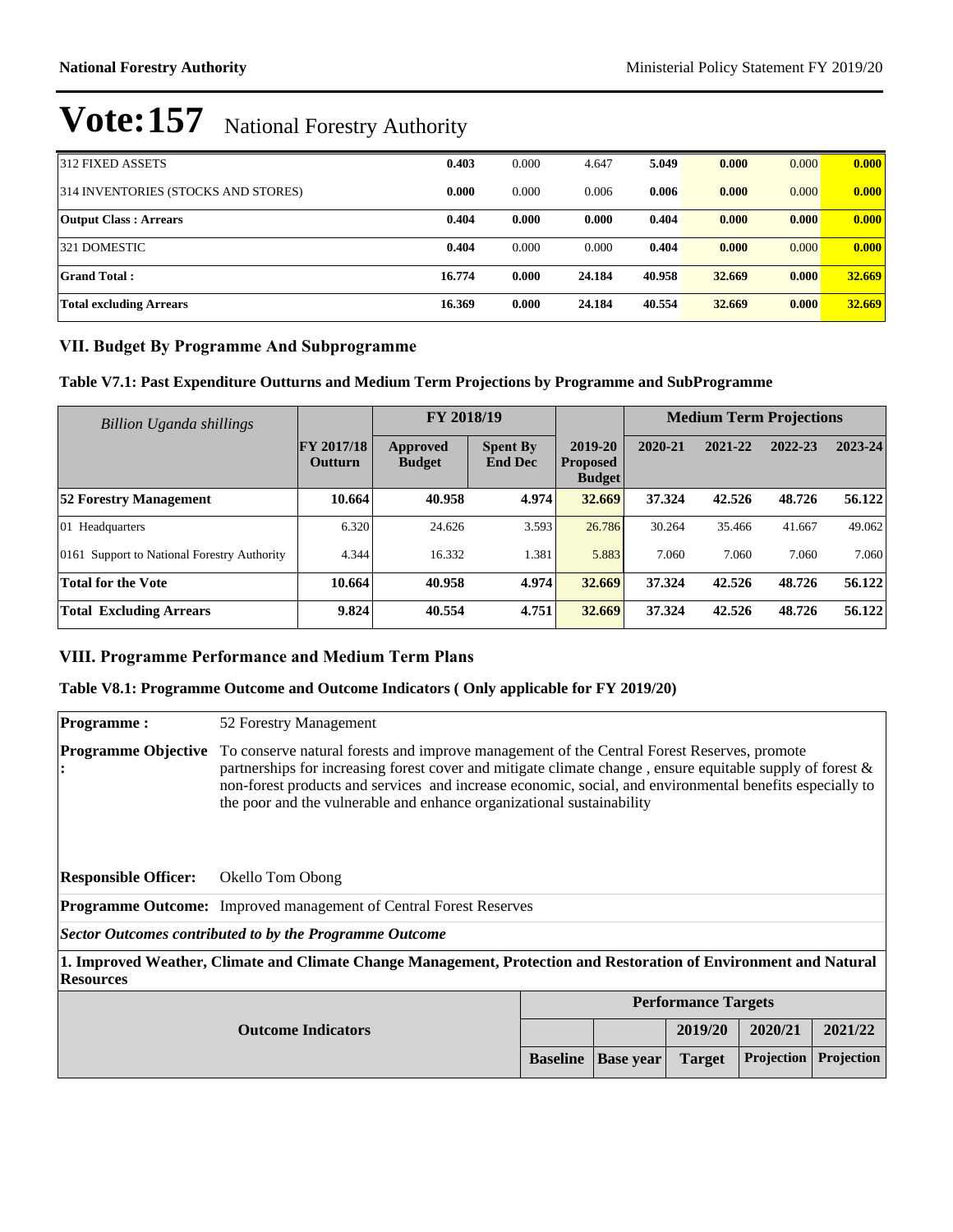| <b>312 FIXED ASSETS</b>             | 0.403  | 0.000 | 4.647  | 5.049  | 0.000  | 0.000 | 0.000  |
|-------------------------------------|--------|-------|--------|--------|--------|-------|--------|
| 314 INVENTORIES (STOCKS AND STORES) | 0.000  | 0.000 | 0.006  | 0.006  | 0.000  | 0.000 | 0.000  |
| <b>Output Class: Arrears</b>        | 0.404  | 0.000 | 0.000  | 0.404  | 0.000  | 0.000 | 0.000  |
| <b>321 DOMESTIC</b>                 | 0.404  | 0.000 | 0.000  | 0.404  | 0.000  | 0.000 | 0.000  |
| <b>Grand Total:</b>                 | 16.774 | 0.000 | 24.184 | 40.958 | 32.669 | 0.000 | 32.669 |
| <b>Total excluding Arrears</b>      | 16.369 | 0.000 | 24.184 | 40.554 | 32.669 | 0.000 | 32.669 |

### **VII. Budget By Programme And Subprogramme**

**Table V7.1: Past Expenditure Outturns and Medium Term Projections by Programme and SubProgramme**

| Billion Uganda shillings                    |                              |                                  |                                   | FY 2018/19                                  |         | <b>Medium Term Projections</b> |         |         |  |
|---------------------------------------------|------------------------------|----------------------------------|-----------------------------------|---------------------------------------------|---------|--------------------------------|---------|---------|--|
|                                             | <b>FY 2017/18</b><br>Outturn | <b>Approved</b><br><b>Budget</b> | <b>Spent By</b><br><b>End Dec</b> | 2019-20<br><b>Proposed</b><br><b>Budget</b> | 2020-21 | 2021-22                        | 2022-23 | 2023-24 |  |
| <b>52 Forestry Management</b>               | 10.664                       | 40.958                           | 4.974                             | 32.669                                      | 37.324  | 42.526                         | 48.726  | 56.122  |  |
| 01 Headquarters                             | 6.320                        | 24.626                           | 3.593                             | 26.786                                      | 30.264  | 35.466                         | 41.667  | 49.062  |  |
| 0161 Support to National Forestry Authority | 4.344                        | 16.332                           | 1.381                             | 5.883                                       | 7.060   | 7.060                          | 7.060   | 7.060   |  |
| <b>Total for the Vote</b>                   | 10.664                       | 40.958                           | 4.974                             | 32.669                                      | 37.324  | 42.526                         | 48.726  | 56.122  |  |
| <b>Total Excluding Arrears</b>              | 9.824                        | 40.554                           | 4.751                             | 32.669                                      | 37.324  | 42.526                         | 48.726  | 56.122  |  |

### **VIII. Programme Performance and Medium Term Plans**

### **Table V8.1: Programme Outcome and Outcome Indicators ( Only applicable for FY 2019/20)**

**Programme :** 52 Forestry Management

**Programme Objective**  To conserve natural forests and improve management of the Central Forest Reserves, promote **:** partnerships for increasing forest cover and mitigate climate change , ensure equitable supply of forest & non-forest products and services and increase economic, social, and environmental benefits especially to the poor and the vulnerable and enhance organizational sustainability

**Responsible Officer:** Okello Tom Obong

**Programme Outcome:** Improved management of Central Forest Reserves

*Sector Outcomes contributed to by the Programme Outcome*

**1. Improved Weather, Climate and Climate Change Management, Protection and Restoration of Environment and Natural Resources** 

|                           | <b>Performance Targets</b> |                                                                |         |         |         |  |
|---------------------------|----------------------------|----------------------------------------------------------------|---------|---------|---------|--|
| <b>Outcome Indicators</b> |                            |                                                                | 2019/20 | 2020/21 | 2021/22 |  |
|                           |                            | <b>Baseline   Base year   Target   Projection   Projection</b> |         |         |         |  |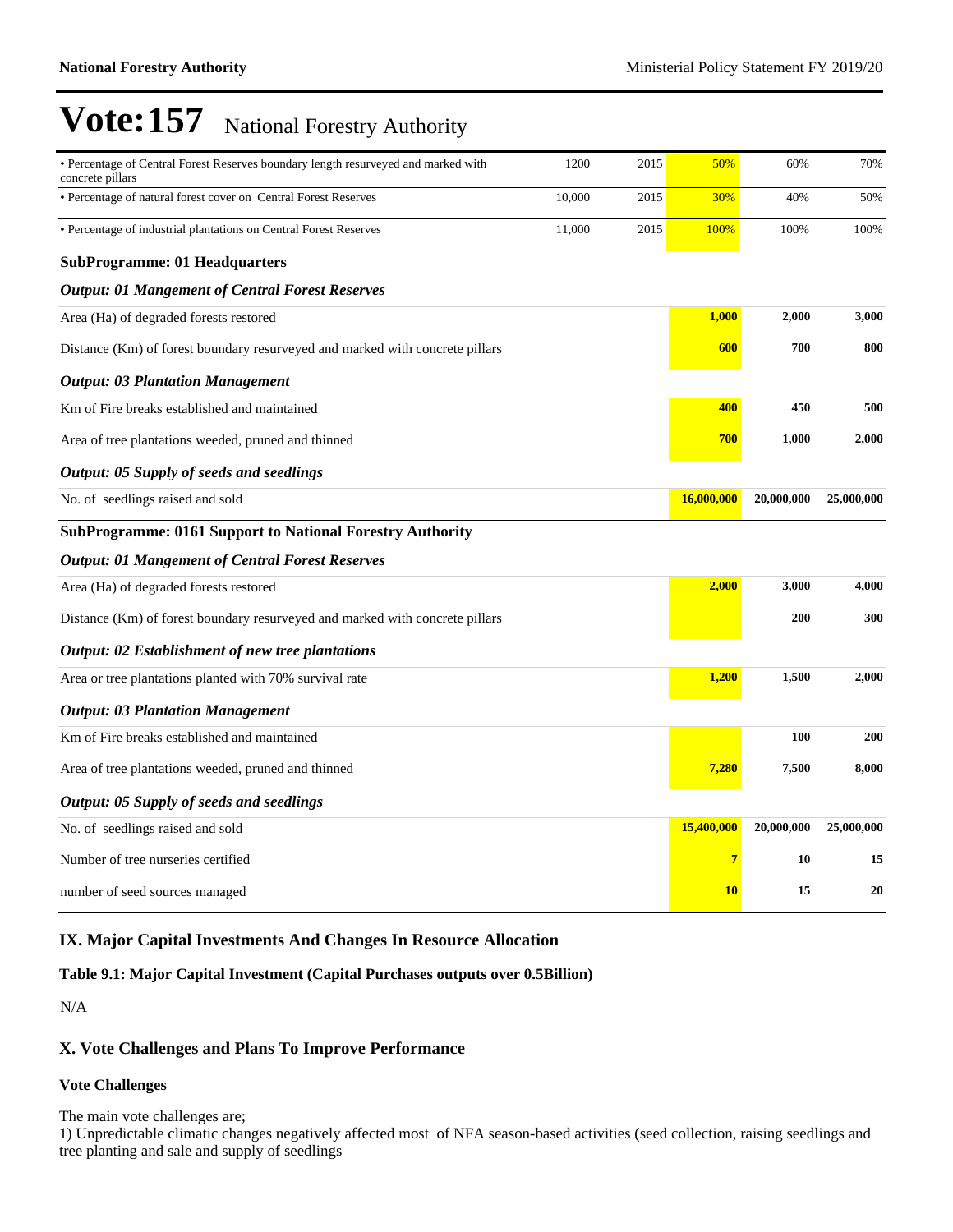| • Percentage of Central Forest Reserves boundary length resurveyed and marked with<br>concrete pillars | 1200   | 2015 | 50%        | 60%        | 70%        |
|--------------------------------------------------------------------------------------------------------|--------|------|------------|------------|------------|
| • Percentage of natural forest cover on Central Forest Reserves                                        | 10,000 | 2015 | 30%        | 40%        | 50%        |
| · Percentage of industrial plantations on Central Forest Reserves                                      | 11,000 | 2015 | 100%       | 100%       | 100%       |
| <b>SubProgramme: 01 Headquarters</b>                                                                   |        |      |            |            |            |
| <b>Output: 01 Mangement of Central Forest Reserves</b>                                                 |        |      |            |            |            |
| Area (Ha) of degraded forests restored                                                                 |        |      | 1,000      | 2,000      | 3,000      |
| Distance (Km) of forest boundary resurveyed and marked with concrete pillars                           |        |      | 600        | 700        | 800        |
| <b>Output: 03 Plantation Management</b>                                                                |        |      |            |            |            |
| Km of Fire breaks established and maintained                                                           |        |      | 400        | 450        | 500        |
| Area of tree plantations weeded, pruned and thinned                                                    |        |      | 700        | 1,000      | 2,000      |
| Output: 05 Supply of seeds and seedlings                                                               |        |      |            |            |            |
| No. of seedlings raised and sold                                                                       |        |      | 16,000,000 | 20,000,000 | 25,000,000 |
| <b>SubProgramme: 0161 Support to National Forestry Authority</b>                                       |        |      |            |            |            |
| <b>Output: 01 Mangement of Central Forest Reserves</b>                                                 |        |      |            |            |            |
| Area (Ha) of degraded forests restored                                                                 |        |      | 2,000      | 3,000      | 4,000      |
| Distance (Km) of forest boundary resurveyed and marked with concrete pillars                           |        |      |            | 200        | 300        |
| <b>Output: 02 Establishment of new tree plantations</b>                                                |        |      |            |            |            |
| Area or tree plantations planted with 70% survival rate                                                |        |      | 1,200      | 1,500      | 2,000      |
| <b>Output: 03 Plantation Management</b>                                                                |        |      |            |            |            |
| Km of Fire breaks established and maintained                                                           |        |      |            | 100        | 200        |
| Area of tree plantations weeded, pruned and thinned                                                    |        |      | 7,280      | 7,500      | 8,000      |
| <b>Output: 05 Supply of seeds and seedlings</b>                                                        |        |      |            |            |            |
| No. of seedlings raised and sold                                                                       |        |      | 15,400,000 | 20,000,000 | 25,000,000 |
| Number of tree nurseries certified                                                                     |        |      | 7          | 10         | 15         |
| number of seed sources managed                                                                         |        |      | <b>10</b>  | 15         | 20         |

## **IX. Major Capital Investments And Changes In Resource Allocation**

### **Table 9.1: Major Capital Investment (Capital Purchases outputs over 0.5Billion)**

N/A

## **X. Vote Challenges and Plans To Improve Performance**

#### **Vote Challenges**

The main vote challenges are;

1) Unpredictable climatic changes negatively affected most of NFA season-based activities (seed collection, raising seedlings and tree planting and sale and supply of seedlings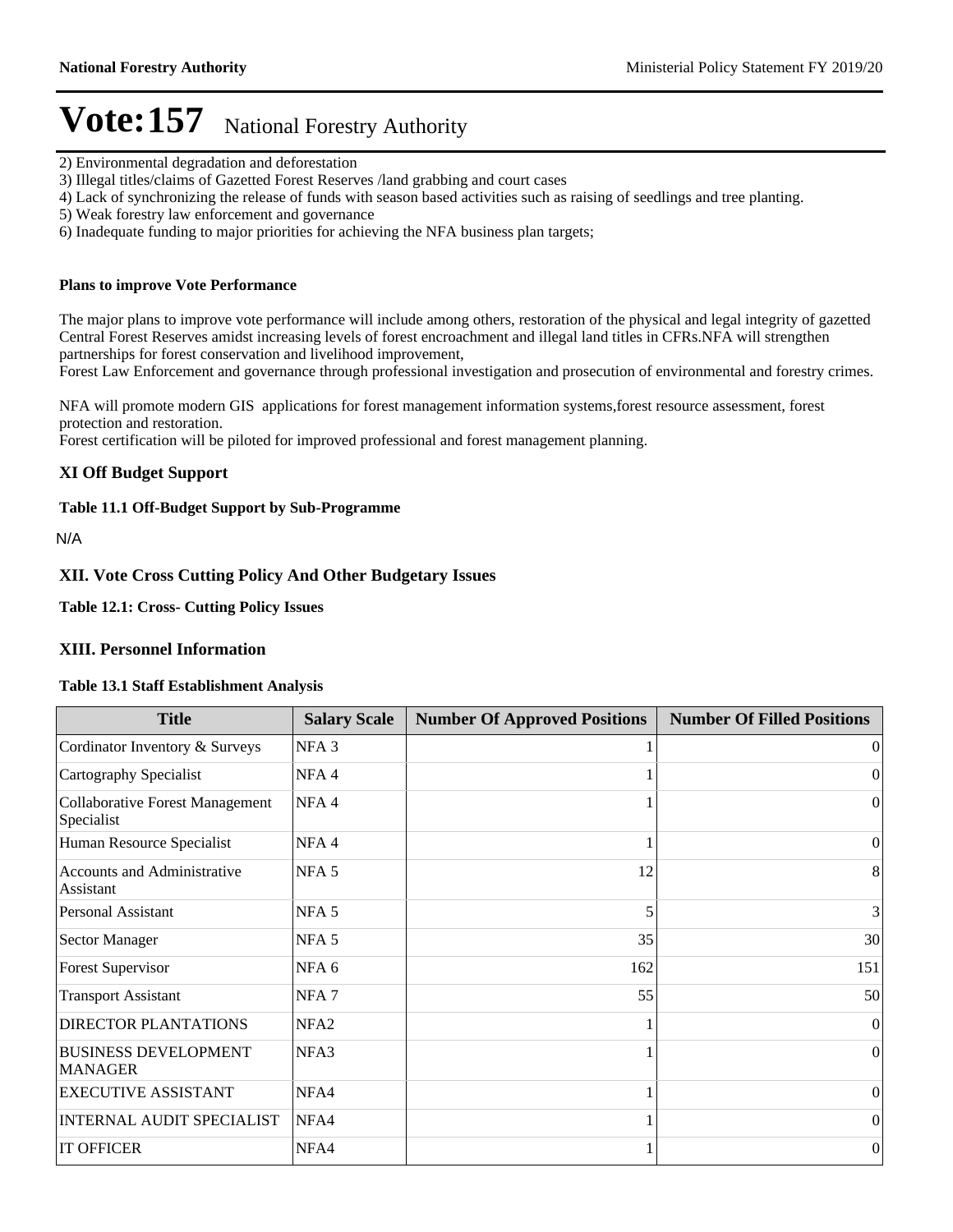- 2) Environmental degradation and deforestation
- 3) Illegal titles/claims of Gazetted Forest Reserves /land grabbing and court cases
- 4) Lack of synchronizing the release of funds with season based activities such as raising of seedlings and tree planting.
- 5) Weak forestry law enforcement and governance
- 6) Inadequate funding to major priorities for achieving the NFA business plan targets;

#### **Plans to improve Vote Performance**

The major plans to improve vote performance will include among others, restoration of the physical and legal integrity of gazetted Central Forest Reserves amidst increasing levels of forest encroachment and illegal land titles in CFRs.NFA will strengthen partnerships for forest conservation and livelihood improvement,

Forest Law Enforcement and governance through professional investigation and prosecution of environmental and forestry crimes.

NFA will promote modern GIS applications for forest management information systems,forest resource assessment, forest protection and restoration.

Forest certification will be piloted for improved professional and forest management planning.

#### **XI Off Budget Support**

#### **Table 11.1 Off-Budget Support by Sub-Programme**

N/A

#### **XII. Vote Cross Cutting Policy And Other Budgetary Issues**

**Table 12.1: Cross- Cutting Policy Issues**

### **XIII. Personnel Information**

#### **Table 13.1 Staff Establishment Analysis**

| <b>Title</b>                                         | <b>Salary Scale</b> | <b>Number Of Approved Positions</b> | <b>Number Of Filled Positions</b> |
|------------------------------------------------------|---------------------|-------------------------------------|-----------------------------------|
| Cordinator Inventory & Surveys                       | NFA <sub>3</sub>    |                                     | $\Omega$                          |
| Cartography Specialist                               | NFA <sub>4</sub>    |                                     | $\overline{0}$                    |
| <b>Collaborative Forest Management</b><br>Specialist | NFA4                |                                     | $\Omega$                          |
| Human Resource Specialist                            | NFA <sub>4</sub>    |                                     | $\overline{0}$                    |
| <b>Accounts and Administrative</b><br>Assistant      | NFA <sub>5</sub>    | 12                                  | 8                                 |
| <b>Personal Assistant</b>                            | NFA <sub>5</sub>    | 5                                   | 3                                 |
| <b>Sector Manager</b>                                | NFA <sub>5</sub>    | 35                                  | 30                                |
| <b>Forest Supervisor</b>                             | NFA <sub>6</sub>    | 162                                 | 151                               |
| <b>Transport Assistant</b>                           | NFA <sub>7</sub>    | 55                                  | 50                                |
| <b>DIRECTOR PLANTATIONS</b>                          | NFA <sub>2</sub>    |                                     | $\Omega$                          |
| <b>BUSINESS DEVELOPMENT</b><br><b>MANAGER</b>        | NFA3                |                                     | $\Omega$                          |
| <b>EXECUTIVE ASSISTANT</b>                           | NFA4                |                                     | $\theta$                          |
| <b>INTERNAL AUDIT SPECIALIST</b>                     | NFA4                |                                     | $\overline{0}$                    |
| <b>IT OFFICER</b>                                    | NFA4                |                                     | $\mathbf{0}$                      |